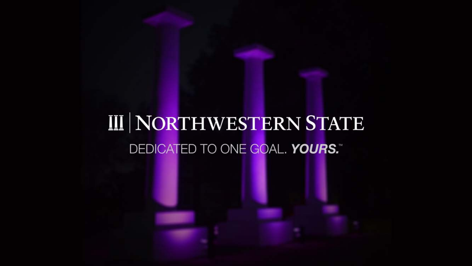# **III NORTHWESTERN STATE** DEDICATED TO ONE GOAL. YOURS."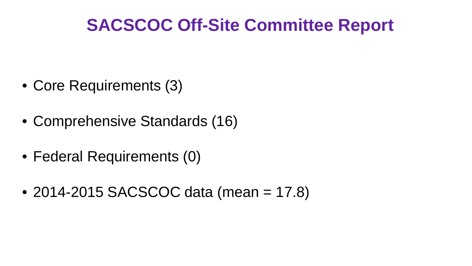#### **SACSCOC Off-Site Committee Report**

- Core Requirements (3)
- Comprehensive Standards (16)
- Federal Requirements (0)
- 2014-2015 SACSCOC data (mean = 17.8)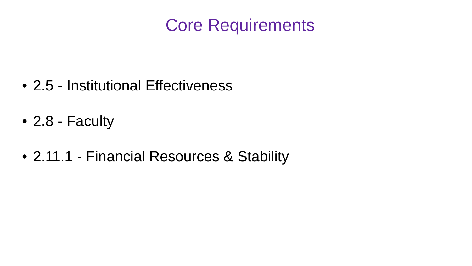#### Core Requirements

- 2.5 Institutional Effectiveness
- 2.8 Faculty
- 2.11.1 Financial Resources & Stability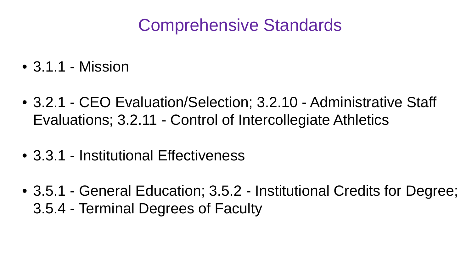#### Comprehensive Standards

- 3.1.1 Mission
- 3.2.1 CEO Evaluation/Selection; 3.2.10 Administrative Staff Evaluations; 3.2.11 - Control of Intercollegiate Athletics
- 3.3.1 Institutional Effectiveness
- 3.5.1 General Education; 3.5.2 Institutional Credits for Degree; 3.5.4 - Terminal Degrees of Faculty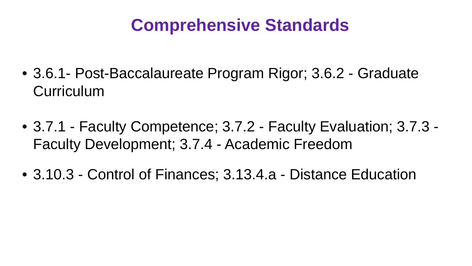#### **Comprehensive Standards**

- 3.6.1- Post-Baccalaureate Program Rigor; 3.6.2 Graduate **Curriculum**
- 3.7.1 Faculty Competence; 3.7.2 Faculty Evaluation; 3.7.3 Faculty Development; 3.7.4 - Academic Freedom
- 3.10.3 Control of Finances; 3.13.4.a Distance Education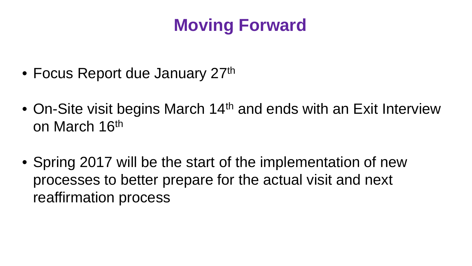## **Moving Forward**

- Focus Report due January 27<sup>th</sup>
- On-Site visit begins March 14<sup>th</sup> and ends with an Exit Interview on March 16th
- Spring 2017 will be the start of the implementation of new processes to better prepare for the actual visit and next reaffirmation process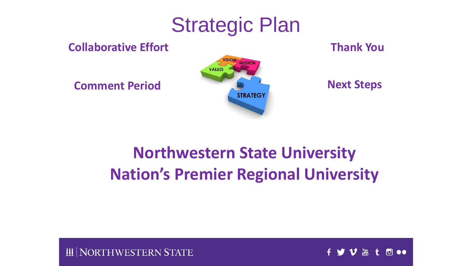## Strategic Plan

**Collaborative Effort**



**Thank You**

#### **Northwestern State University Nation's Premier Regional University**

NORTHWESTERN STATE

 $\frac{100}{1000}$  $\overline{0}$  oo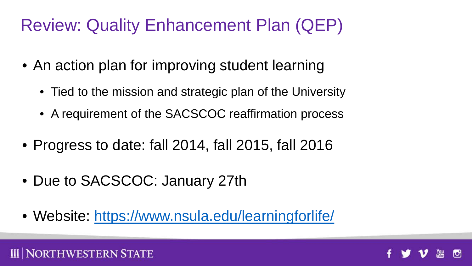## Review: Quality Enhancement Plan (QEP)

- An action plan for improving student learning
	- Tied to the mission and strategic plan of the University
	- A requirement of the SACSCOC reaffirmation process
- Progress to date: fall 2014, fall 2015, fall 2016
- Due to SACSCOC: January 27th

NORTHWESTERN STATE

• Website: <https://www.nsula.edu/learningforlife/>

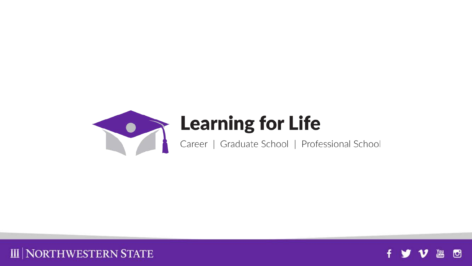



**III | NORTHWESTERN STATE**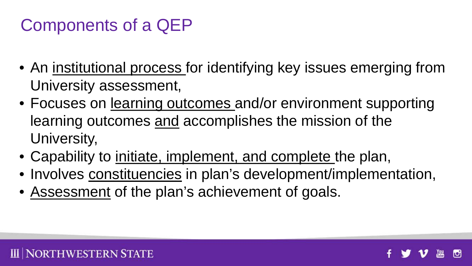## Components of a QEP

**DRTHWESTERN STATE** 

- An institutional process for identifying key issues emerging from University assessment,
- Focuses on learning outcomes and/or environment supporting learning outcomes and accomplishes the mission of the University,
- Capability to initiate, implement, and complete the plan,
- Involves constituencies in plan's development/implementation,
- Assessment of the plan's achievement of goals.

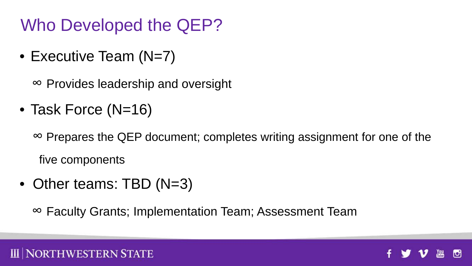Who Developed the QEP?

• Executive Team (N=7)

∞ Provides leadership and oversight

• Task Force (N=16)

∞ Prepares the QEP document; completes writing assignment for one of the five components

• Other teams: TBD (N=3)

∞ Faculty Grants; Implementation Team; Assessment Team



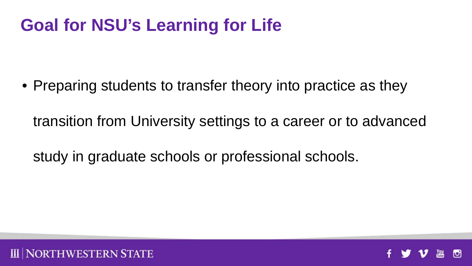## **Goal for NSU's Learning for Life**

• Preparing students to transfer theory into practice as they

transition from University settings to a career or to advanced

study in graduate schools or professional schools.



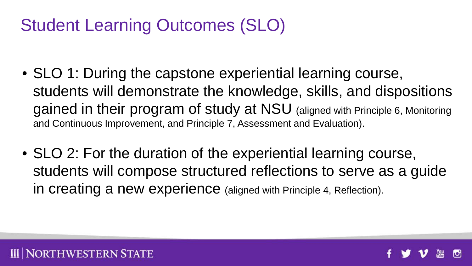## Student Learning Outcomes (SLO)

- SLO 1: During the capstone experiential learning course, students will demonstrate the knowledge, skills, and dispositions gained in their program of study at NSU (aligned with Principle 6, Monitoring and Continuous Improvement, and Principle 7, Assessment and Evaluation).
- SLO 2: For the duration of the experiential learning course, students will compose structured reflections to serve as a guide in creating a new experience (aligned with Principle 4, Reflection).



ORTHWESTERN STATE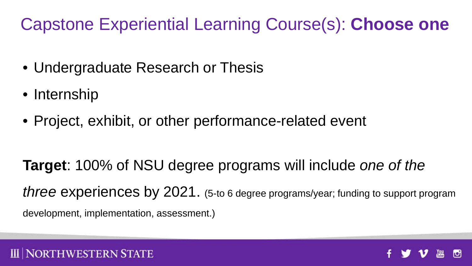#### Capstone Experiential Learning Course(s): **Choose one**

- Undergraduate Research or Thesis
- Internship

**NORTHWESTERN STATE** 

• Project, exhibit, or other performance-related event

**Target**: 100% of NSU degree programs will include *one of the three* experiences by 2021. (5-to 6 degree programs/year; funding to support program development, implementation, assessment.)